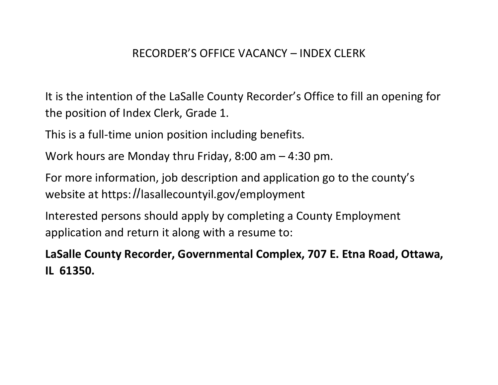# RECORDER'S OFFICE VACANCY – INDEX CLERK

It is the intention of the LaSalle County Recorder's Office to fill an opening for the position of Index Clerk, Grade 1.

This is a full-time union position including benefits.

Work hours are Monday thru Friday, 8:00 am – 4:30 pm.

For more information, job description and application go to the county's website at https://lasallecountyil.gov/employment

Interested persons should apply by completing a County Employment application and return it along with a resume to:

**LaSalle County Recorder, Governmental Complex, 707 E. Etna Road, Ottawa, IL 61350.**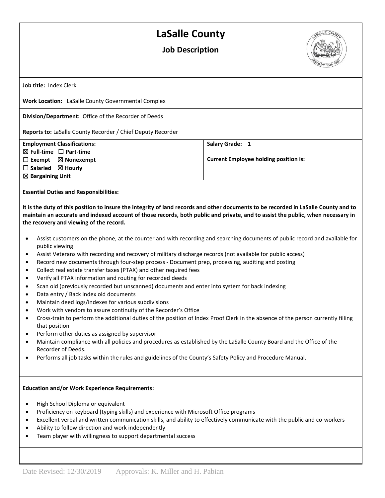## **LaSalle County**

### **Job Description**



**Job title:** Index Clerk

**Work Location:** LaSalle County Governmental Complex

**Division/Department:** Office of the Recorder of Deeds

**Reports to:** LaSalle County Recorder / Chief Deputy Recorder

| <b>Employment Classifications:</b>     | Salary Grade: 1                              |
|----------------------------------------|----------------------------------------------|
| $\boxtimes$ Full-time $\Box$ Part-time |                                              |
| $\Box$ Exempt $\boxtimes$ Nonexempt    | <b>Current Employee holding position is:</b> |
| $\Box$ Salaried $\boxtimes$ Hourly     |                                              |
| $\boxtimes$ Bargaining Unit            |                                              |

**Essential Duties and Responsibilities:**

**It is the duty of this position to insure the integrity of land records and other documents to be recorded in LaSalle County and to maintain an accurate and indexed account of those records, both public and private, and to assist the public, when necessary in the recovery and viewing of the record.**

- Assist customers on the phone, at the counter and with recording and searching documents of public record and available for public viewing
- Assist Veterans with recording and recovery of military discharge records (not available for public access)
- Record new documents through four-step process Document prep, processing, auditing and posting
- Collect real estate transfer taxes (PTAX) and other required fees
- Verify all PTAX information and routing for recorded deeds
- Scan old (previously recorded but unscanned) documents and enter into system for back indexing
- Data entry / Back index old documents
- Maintain deed logs/indexes for various subdivisions
- Work with vendors to assure continuity of the Recorder's Office
- Cross-train to perform the additional duties of the position of Index Proof Clerk in the absence of the person currently filling that position
- Perform other duties as assigned by supervisor
- Maintain compliance with all policies and procedures as established by the LaSalle County Board and the Office of the Recorder of Deeds.
- Performs all job tasks within the rules and guidelines of the County's Safety Policy and Procedure Manual.

#### **Education and/or Work Experience Requirements:**

- High School Diploma or equivalent
- Proficiency on keyboard (typing skills) and experience with Microsoft Office programs
- Excellent verbal and written communication skills, and ability to effectively communicate with the public and co-workers
- Ability to follow direction and work independently
- Team player with willingness to support departmental success